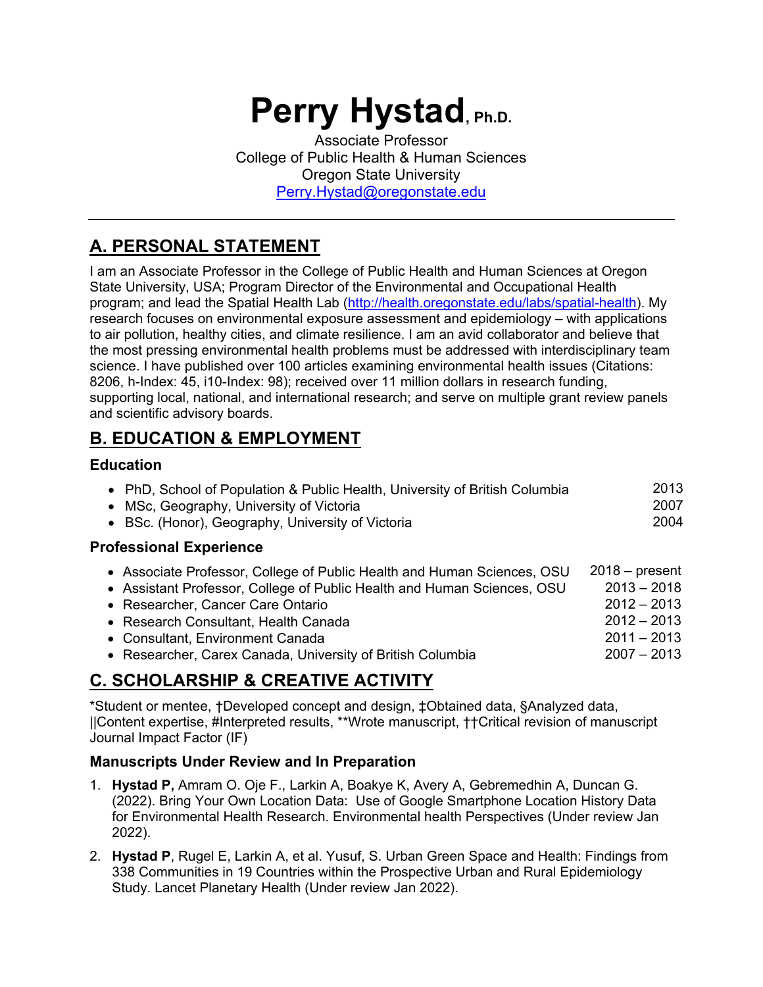# **Perry Hystad, Ph.D.**

Associate Professor College of Public Health & Human Sciences Oregon State University Perry.Hystad@oregonstate.edu

# **A. PERSONAL STATEMENT**

I am an Associate Professor in the College of Public Health and Human Sciences at Oregon State University, USA; Program Director of the Environmental and Occupational Health program; and lead the Spatial Health Lab (http://health.oregonstate.edu/labs/spatial-health). My research focuses on environmental exposure assessment and epidemiology – with applications to air pollution, healthy cities, and climate resilience. I am an avid collaborator and believe that the most pressing environmental health problems must be addressed with interdisciplinary team science. I have published over 100 articles examining environmental health issues (Citations: 8206, h-Index: 45, i10-Index: 98); received over 11 million dollars in research funding, supporting local, national, and international research; and serve on multiple grant review panels and scientific advisory boards.

# **B. EDUCATION & EMPLOYMENT**

## **Education**

| • PhD, School of Population & Public Health, University of British Columbia | 2013 |
|-----------------------------------------------------------------------------|------|
| • MSc, Geography, University of Victoria                                    | 2007 |
| • BSc. (Honor), Geography, University of Victoria                           | 2004 |
| <b>Professional Experience</b>                                              |      |
|                                                                             |      |

| • Associate Professor, College of Public Health and Human Sciences, OSU | $2018 - present$ |
|-------------------------------------------------------------------------|------------------|
| • Assistant Professor, College of Public Health and Human Sciences, OSU | $2013 - 2018$    |
| • Researcher, Cancer Care Ontario                                       | $2012 - 2013$    |
| • Research Consultant, Health Canada                                    | $2012 - 2013$    |
| • Consultant, Environment Canada                                        | $2011 - 2013$    |
| • Researcher, Carex Canada, University of British Columbia              | $2007 - 2013$    |
|                                                                         |                  |

# **C. SCHOLARSHIP & CREATIVE ACTIVITY**

\*Student or mentee, †Developed concept and design, ‡Obtained data, §Analyzed data, ||Content expertise, #Interpreted results, \*\*Wrote manuscript, ††Critical revision of manuscript Journal Impact Factor (IF)

## **Manuscripts Under Review and In Preparation**

- 1. **Hystad P,** Amram O. Oje F., Larkin A, Boakye K, Avery A, Gebremedhin A, Duncan G. (2022). Bring Your Own Location Data: Use of Google Smartphone Location History Data for Environmental Health Research. Environmental health Perspectives (Under review Jan 2022).
- 2. **Hystad P**, Rugel E, Larkin A, et al. Yusuf, S. Urban Green Space and Health: Findings from 338 Communities in 19 Countries within the Prospective Urban and Rural Epidemiology Study. Lancet Planetary Health (Under review Jan 2022).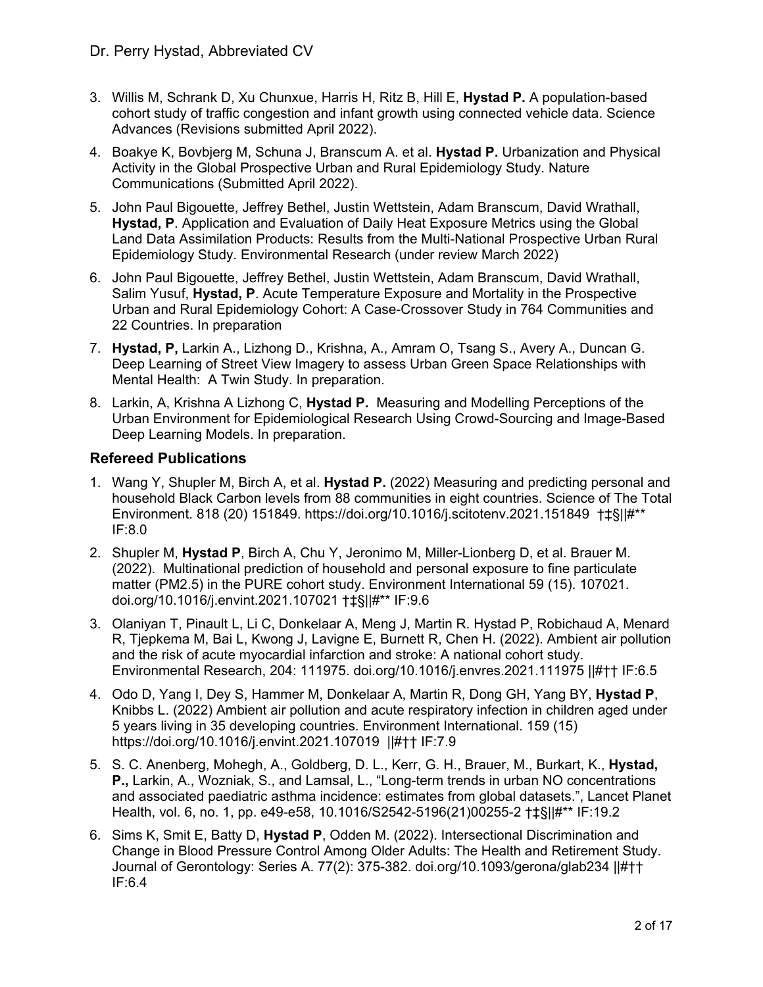- 3. Willis M, Schrank D, Xu Chunxue, Harris H, Ritz B, Hill E, **Hystad P.** A population-based cohort study of traffic congestion and infant growth using connected vehicle data. Science Advances (Revisions submitted April 2022).
- 4. Boakye K, Bovbjerg M, Schuna J, Branscum A. et al. **Hystad P.** Urbanization and Physical Activity in the Global Prospective Urban and Rural Epidemiology Study. Nature Communications (Submitted April 2022).
- 5. John Paul Bigouette, Jeffrey Bethel, Justin Wettstein, Adam Branscum, David Wrathall, **Hystad, P**. Application and Evaluation of Daily Heat Exposure Metrics using the Global Land Data Assimilation Products: Results from the Multi-National Prospective Urban Rural Epidemiology Study. Environmental Research (under review March 2022)
- 6. John Paul Bigouette, Jeffrey Bethel, Justin Wettstein, Adam Branscum, David Wrathall, Salim Yusuf, **Hystad, P**. Acute Temperature Exposure and Mortality in the Prospective Urban and Rural Epidemiology Cohort: A Case-Crossover Study in 764 Communities and 22 Countries. In preparation
- 7. **Hystad, P,** Larkin A., Lizhong D., Krishna, A., Amram O, Tsang S., Avery A., Duncan G. Deep Learning of Street View Imagery to assess Urban Green Space Relationships with Mental Health: A Twin Study. In preparation.
- 8. Larkin, A, Krishna A Lizhong C, **Hystad P.** Measuring and Modelling Perceptions of the Urban Environment for Epidemiological Research Using Crowd-Sourcing and Image-Based Deep Learning Models. In preparation.

#### **Refereed Publications**

- 1. Wang Y, Shupler M, Birch A, et al. **Hystad P.** (2022) Measuring and predicting personal and household Black Carbon levels from 88 communities in eight countries. Science of The Total Environment. 818 (20) 151849. https://doi.org/10.1016/j.scitotenv.2021.151849 †‡§||#\*\* IF:8.0
- 2. Shupler M, **Hystad P**, Birch A, Chu Y, Jeronimo M, Miller-Lionberg D, et al. Brauer M. (2022). Multinational prediction of household and personal exposure to fine particulate matter (PM2.5) in the PURE cohort study. Environment International 59 (15). 107021. doi.org/10.1016/j.envint.2021.107021 †‡§||#\*\* IF:9.6
- 3. Olaniyan T, Pinault L, Li C, Donkelaar A, Meng J, Martin R. Hystad P, Robichaud A, Menard R, Tjepkema M, Bai L, Kwong J, Lavigne E, Burnett R, Chen H. (2022). Ambient air pollution and the risk of acute myocardial infarction and stroke: A national cohort study. Environmental Research, 204: 111975. doi.org/10.1016/j.envres.2021.111975 ||#†† IF:6.5
- 4. Odo D, Yang I, Dey S, Hammer M, Donkelaar A, Martin R, Dong GH, Yang BY, **Hystad P**, Knibbs L. (2022) Ambient air pollution and acute respiratory infection in children aged under 5 years living in 35 developing countries. Environment International. 159 (15) https://doi.org/10.1016/j.envint.2021.107019 ||#†† IF:7.9
- 5. S. C. Anenberg, Mohegh, A., Goldberg, D. L., Kerr, G. H., Brauer, M., Burkart, K., **Hystad, P.,** Larkin, A., Wozniak, S., and Lamsal, L., "Long-term trends in urban NO concentrations and associated paediatric asthma incidence: estimates from global datasets.", Lancet Planet Health, vol. 6, no. 1, pp. e49-e58, 10.1016/S2542-5196(21)00255-2 †‡§||#\*\* IF:19.2
- 6. Sims K, Smit E, Batty D, **Hystad P**, Odden M. (2022). Intersectional Discrimination and Change in Blood Pressure Control Among Older Adults: The Health and Retirement Study. Journal of Gerontology: Series A. 77(2): 375-382. doi.org/10.1093/gerona/glab234 ||#†† IF:6.4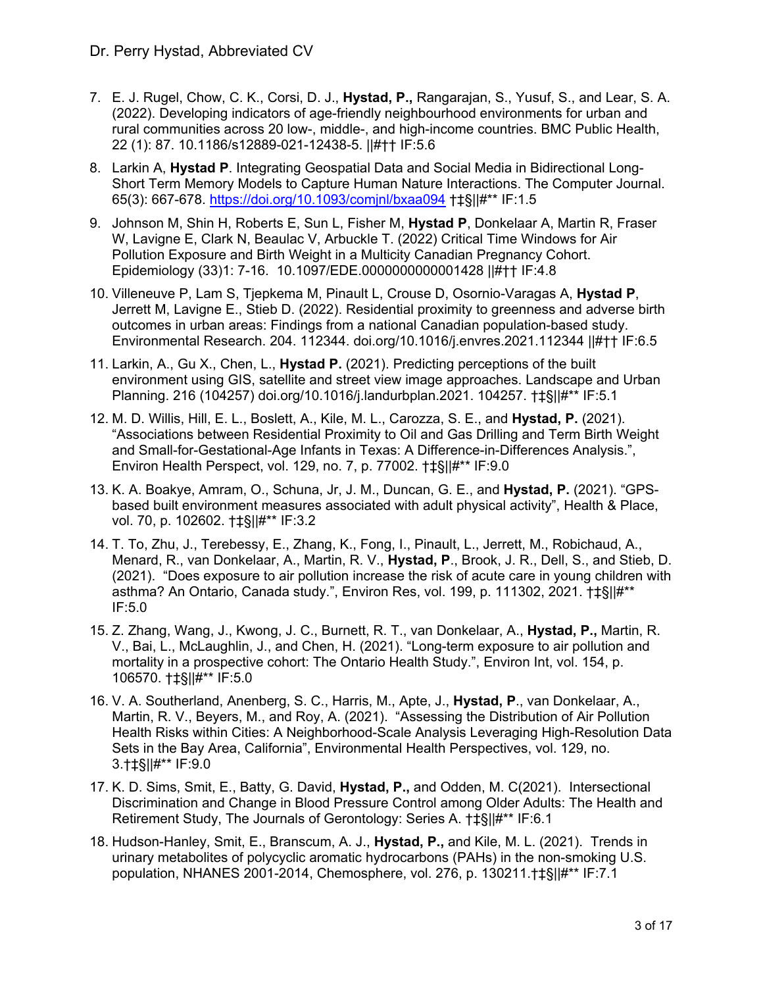- 7. E. J. Rugel, Chow, C. K., Corsi, D. J., **Hystad, P.,** Rangarajan, S., Yusuf, S., and Lear, S. A. (2022). Developing indicators of age-friendly neighbourhood environments for urban and rural communities across 20 low-, middle-, and high-income countries. BMC Public Health, 22 (1): 87. 10.1186/s12889-021-12438-5. ||#†† IF:5.6
- 8. Larkin A, **Hystad P**. Integrating Geospatial Data and Social Media in Bidirectional Long-Short Term Memory Models to Capture Human Nature Interactions. The Computer Journal. 65(3): 667-678. https://doi.org/10.1093/comjnl/bxaa094 †‡§||#\*\* IF:1.5
- 9. Johnson M, Shin H, Roberts E, Sun L, Fisher M, **Hystad P**, Donkelaar A, Martin R, Fraser W, Lavigne E, Clark N, Beaulac V, Arbuckle T. (2022) Critical Time Windows for Air Pollution Exposure and Birth Weight in a Multicity Canadian Pregnancy Cohort. Epidemiology (33)1: 7-16. 10.1097/EDE.0000000000001428 ||#†† IF:4.8
- 10. Villeneuve P, Lam S, Tjepkema M, Pinault L, Crouse D, Osornio-Varagas A, **Hystad P**, Jerrett M, Lavigne E., Stieb D. (2022). Residential proximity to greenness and adverse birth outcomes in urban areas: Findings from a national Canadian population-based study. Environmental Research. 204. 112344. doi.org/10.1016/j.envres.2021.112344 ||#†† IF:6.5
- 11. Larkin, A., Gu X., Chen, L., **Hystad P.** (2021). Predicting perceptions of the built environment using GIS, satellite and street view image approaches. Landscape and Urban Planning. 216 (104257) doi.org/10.1016/j.landurbplan.2021. 104257. †‡§||#\*\* IF:5.1
- 12. M. D. Willis, Hill, E. L., Boslett, A., Kile, M. L., Carozza, S. E., and **Hystad, P.** (2021). "Associations between Residential Proximity to Oil and Gas Drilling and Term Birth Weight and Small-for-Gestational-Age Infants in Texas: A Difference-in-Differences Analysis.", Environ Health Perspect, vol. 129, no. 7, p. 77002. †‡§||#\*\* IF:9.0
- 13. K. A. Boakye, Amram, O., Schuna, Jr, J. M., Duncan, G. E., and **Hystad, P.** (2021). "GPSbased built environment measures associated with adult physical activity", Health & Place, vol. 70, p. 102602. †‡§||#\*\* IF:3.2
- 14. T. To, Zhu, J., Terebessy, E., Zhang, K., Fong, I., Pinault, L., Jerrett, M., Robichaud, A., Menard, R., van Donkelaar, A., Martin, R. V., **Hystad, P**., Brook, J. R., Dell, S., and Stieb, D. (2021). "Does exposure to air pollution increase the risk of acute care in young children with asthma? An Ontario, Canada study.", Environ Res, vol. 199, p. 111302, 2021. †‡§||#\*\* IF:5.0
- 15. Z. Zhang, Wang, J., Kwong, J. C., Burnett, R. T., van Donkelaar, A., **Hystad, P.,** Martin, R. V., Bai, L., McLaughlin, J., and Chen, H. (2021). "Long-term exposure to air pollution and mortality in a prospective cohort: The Ontario Health Study.", Environ Int, vol. 154, p. 106570. †‡§||#\*\* IF:5.0
- 16. V. A. Southerland, Anenberg, S. C., Harris, M., Apte, J., **Hystad, P**., van Donkelaar, A., Martin, R. V., Beyers, M., and Roy, A. (2021). "Assessing the Distribution of Air Pollution Health Risks within Cities: A Neighborhood-Scale Analysis Leveraging High-Resolution Data Sets in the Bay Area, California", Environmental Health Perspectives, vol. 129, no. 3.†‡§||#\*\* IF:9.0
- 17. K. D. Sims, Smit, E., Batty, G. David, **Hystad, P.,** and Odden, M. C(2021). Intersectional Discrimination and Change in Blood Pressure Control among Older Adults: The Health and Retirement Study, The Journals of Gerontology: Series A. †‡§||#\*\* IF:6.1
- 18. Hudson-Hanley, Smit, E., Branscum, A. J., **Hystad, P.,** and Kile, M. L. (2021). Trends in urinary metabolites of polycyclic aromatic hydrocarbons (PAHs) in the non-smoking U.S. population, NHANES 2001-2014, Chemosphere, vol. 276, p. 130211.†‡§||#\*\* IF:7.1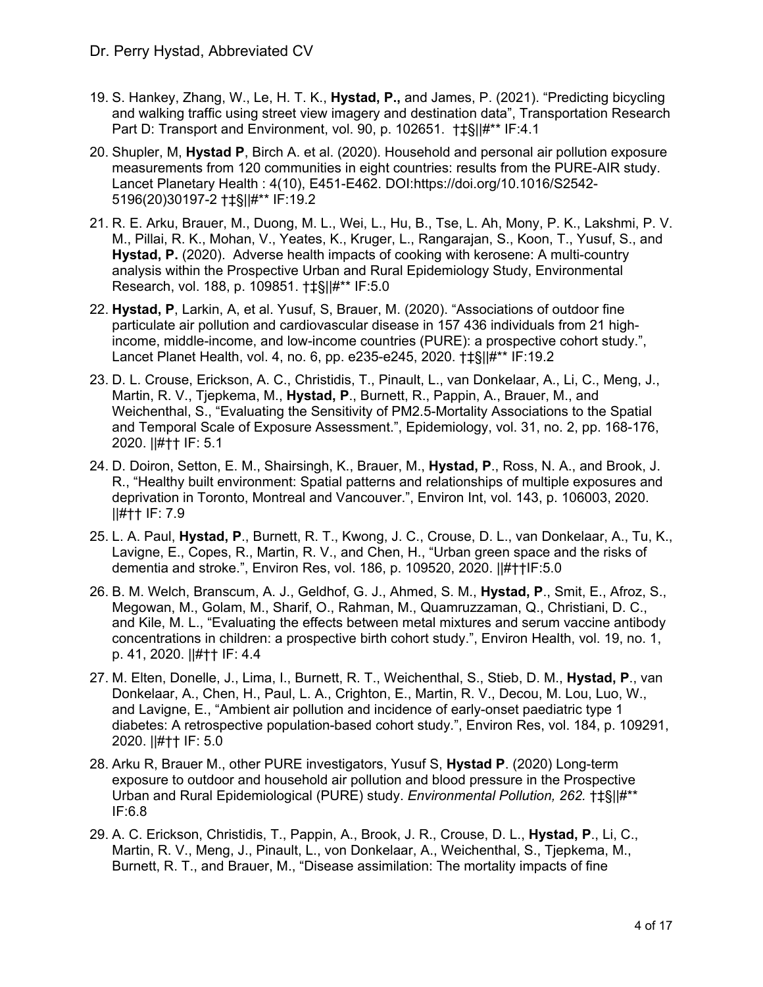- 19. S. Hankey, Zhang, W., Le, H. T. K., **Hystad, P.,** and James, P. (2021). "Predicting bicycling and walking traffic using street view imagery and destination data", Transportation Research Part D: Transport and Environment, vol. 90, p. 102651. †‡§||#\*\* IF:4.1
- 20. Shupler, M, **Hystad P**, Birch A. et al. (2020). Household and personal air pollution exposure measurements from 120 communities in eight countries: results from the PURE-AIR study. Lancet Planetary Health : 4(10), E451-E462. DOI:https://doi.org/10.1016/S2542- 5196(20)30197-2 †‡§||#\*\* IF:19.2
- 21. R. E. Arku, Brauer, M., Duong, M. L., Wei, L., Hu, B., Tse, L. Ah, Mony, P. K., Lakshmi, P. V. M., Pillai, R. K., Mohan, V., Yeates, K., Kruger, L., Rangarajan, S., Koon, T., Yusuf, S., and **Hystad, P.** (2020). Adverse health impacts of cooking with kerosene: A multi-country analysis within the Prospective Urban and Rural Epidemiology Study, Environmental Research, vol. 188, p. 109851. †‡§||#\*\* IF:5.0
- 22. **Hystad, P**, Larkin, A, et al. Yusuf, S, Brauer, M. (2020). "Associations of outdoor fine particulate air pollution and cardiovascular disease in 157 436 individuals from 21 highincome, middle-income, and low-income countries (PURE): a prospective cohort study.", Lancet Planet Health, vol. 4, no. 6, pp. e235-e245, 2020. †‡§||#\*\* IF:19.2
- 23. D. L. Crouse, Erickson, A. C., Christidis, T., Pinault, L., van Donkelaar, A., Li, C., Meng, J., Martin, R. V., Tjepkema, M., **Hystad, P**., Burnett, R., Pappin, A., Brauer, M., and Weichenthal, S., "Evaluating the Sensitivity of PM2.5-Mortality Associations to the Spatial and Temporal Scale of Exposure Assessment.", Epidemiology, vol. 31, no. 2, pp. 168-176, 2020. ||#†† IF: 5.1
- 24. D. Doiron, Setton, E. M., Shairsingh, K., Brauer, M., **Hystad, P**., Ross, N. A., and Brook, J. R., "Healthy built environment: Spatial patterns and relationships of multiple exposures and deprivation in Toronto, Montreal and Vancouver.", Environ Int, vol. 143, p. 106003, 2020. ||#†† IF: 7.9
- 25. L. A. Paul, **Hystad, P**., Burnett, R. T., Kwong, J. C., Crouse, D. L., van Donkelaar, A., Tu, K., Lavigne, E., Copes, R., Martin, R. V., and Chen, H., "Urban green space and the risks of dementia and stroke.", Environ Res, vol. 186, p. 109520, 2020. ||#††IF:5.0
- 26. B. M. Welch, Branscum, A. J., Geldhof, G. J., Ahmed, S. M., **Hystad, P**., Smit, E., Afroz, S., Megowan, M., Golam, M., Sharif, O., Rahman, M., Quamruzzaman, Q., Christiani, D. C., and Kile, M. L., "Evaluating the effects between metal mixtures and serum vaccine antibody concentrations in children: a prospective birth cohort study.", Environ Health, vol. 19, no. 1, p. 41, 2020. ||#†† IF: 4.4
- 27. M. Elten, Donelle, J., Lima, I., Burnett, R. T., Weichenthal, S., Stieb, D. M., **Hystad, P**., van Donkelaar, A., Chen, H., Paul, L. A., Crighton, E., Martin, R. V., Decou, M. Lou, Luo, W., and Lavigne, E., "Ambient air pollution and incidence of early-onset paediatric type 1 diabetes: A retrospective population-based cohort study.", Environ Res, vol. 184, p. 109291, 2020. ||#†† IF: 5.0
- 28. Arku R, Brauer M., other PURE investigators, Yusuf S, **Hystad P**. (2020) Long-term exposure to outdoor and household air pollution and blood pressure in the Prospective Urban and Rural Epidemiological (PURE) study. *Environmental Pollution, 262.* †‡§||#\*\* IF:6.8
- 29. A. C. Erickson, Christidis, T., Pappin, A., Brook, J. R., Crouse, D. L., **Hystad, P**., Li, C., Martin, R. V., Meng, J., Pinault, L., von Donkelaar, A., Weichenthal, S., Tjepkema, M., Burnett, R. T., and Brauer, M., "Disease assimilation: The mortality impacts of fine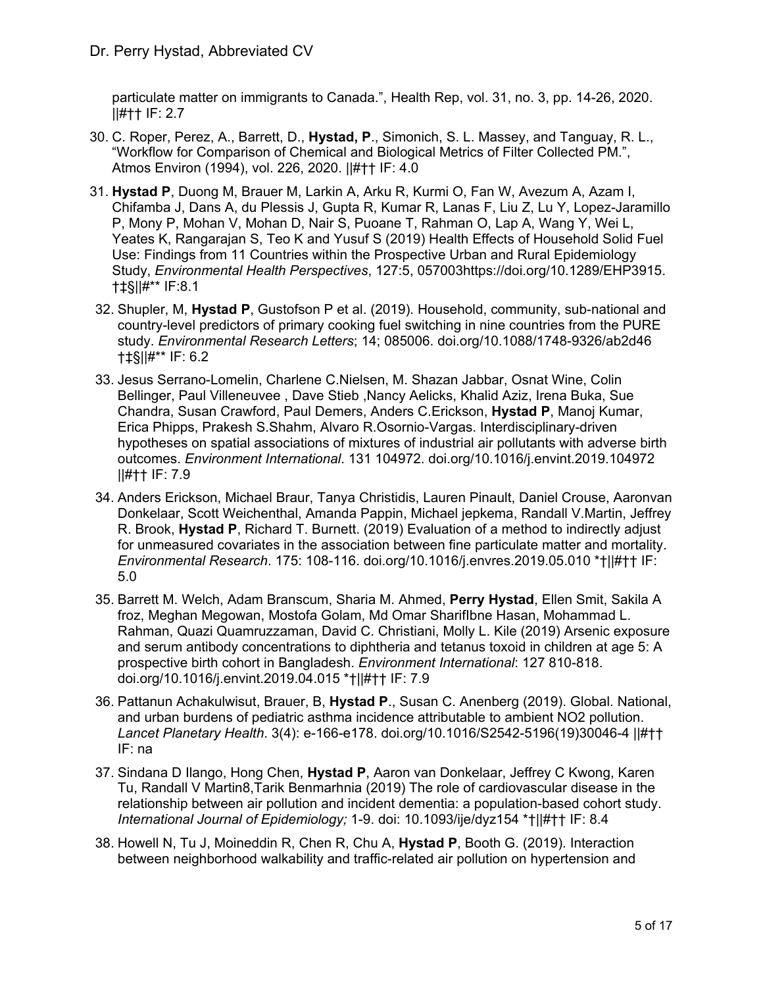particulate matter on immigrants to Canada.", Health Rep, vol. 31, no. 3, pp. 14-26, 2020. ||#†† IF: 2.7

- 30. C. Roper, Perez, A., Barrett, D., **Hystad, P**., Simonich, S. L. Massey, and Tanguay, R. L., "Workflow for Comparison of Chemical and Biological Metrics of Filter Collected PM.", Atmos Environ (1994), vol. 226, 2020. ||#†† IF: 4.0
- 31. **Hystad P**, Duong M, Brauer M, Larkin A, Arku R, Kurmi O, Fan W, Avezum A, Azam I, Chifamba J, Dans A, du Plessis J, Gupta R, Kumar R, Lanas F, Liu Z, Lu Y, Lopez-Jaramillo P, Mony P, Mohan V, Mohan D, Nair S, Puoane T, Rahman O, Lap A, Wang Y, Wei L, Yeates K, Rangarajan S, Teo K and Yusuf S (2019) Health Effects of Household Solid Fuel Use: Findings from 11 Countries within the Prospective Urban and Rural Epidemiology Study, *Environmental Health Perspectives*, 127:5, 057003https://doi.org/10.1289/EHP3915. †‡§||#\*\* IF:8.1
- 32. Shupler, M, **Hystad P**, Gustofson P et al. (2019). Household, community, sub-national and country-level predictors of primary cooking fuel switching in nine countries from the PURE study. *Environmental Research Letters*; 14; 085006. doi.org/10.1088/1748-9326/ab2d46 †‡§||#\*\* IF: 6.2
- 33. Jesus Serrano-Lomelin, Charlene C.Nielsen, M. Shazan Jabbar, Osnat Wine, Colin Bellinger, Paul Villeneuvee , Dave Stieb ,Nancy Aelicks, Khalid Aziz, Irena Buka, Sue Chandra, Susan Crawford, Paul Demers, Anders C.Erickson, **Hystad P**, Manoj Kumar, Erica Phipps, Prakesh S.Shahm, Alvaro R.Osornio-Vargas. Interdisciplinary-driven hypotheses on spatial associations of mixtures of industrial air pollutants with adverse birth outcomes. *Environment International*. 131 104972. doi.org/10.1016/j.envint.2019.104972 ||#†† IF: 7.9
- 34. Anders Erickson, Michael Braur, Tanya Christidis, Lauren Pinault, Daniel Crouse, Aaronvan Donkelaar, Scott Weichenthal, Amanda Pappin, Michael jepkema, Randall V.Martin, Jeffrey R. Brook, **Hystad P**, Richard T. Burnett. (2019) Evaluation of a method to indirectly adjust for unmeasured covariates in the association between fine particulate matter and mortality. *Environmental Research*. 175: 108-116. doi.org/10.1016/j.envres.2019.05.010 \*†||#†† IF: 5.0
- 35. Barrett M. Welch, Adam Branscum, Sharia M. Ahmed, **Perry Hystad**, Ellen Smit, Sakila A froz, Meghan Megowan, Mostofa Golam, Md Omar SharifIbne Hasan, Mohammad L. Rahman, Quazi Quamruzzaman, David C. Christiani, Molly L. Kile (2019) Arsenic exposure and serum antibody concentrations to diphtheria and tetanus toxoid in children at age 5: A prospective birth cohort in Bangladesh. *Environment International*: 127 810-818. doi.org/10.1016/j.envint.2019.04.015 \*†||#†† IF: 7.9
- 36. Pattanun Achakulwisut, Brauer, B, **Hystad P**., Susan C. Anenberg (2019). Global. National, and urban burdens of pediatric asthma incidence attributable to ambient NO2 pollution. *Lancet Planetary Health*. 3(4): e-166-e178. doi.org/10.1016/S2542-5196(19)30046-4 ||#†† IF: na
- 37. Sindana D Ilango, Hong Chen, **Hystad P**, Aaron van Donkelaar, Jeffrey C Kwong, Karen Tu, Randall V Martin8,Tarik Benmarhnia (2019) The role of cardiovascular disease in the relationship between air pollution and incident dementia: a population-based cohort study. *International Journal of Epidemiology;* 1-9. doi: 10.1093/ije/dyz154 \*†||#†† IF: 8.4
- 38. Howell N, Tu J, Moineddin R, Chen R, Chu A, **Hystad P**, Booth G. (2019). Interaction between neighborhood walkability and traffic-related air pollution on hypertension and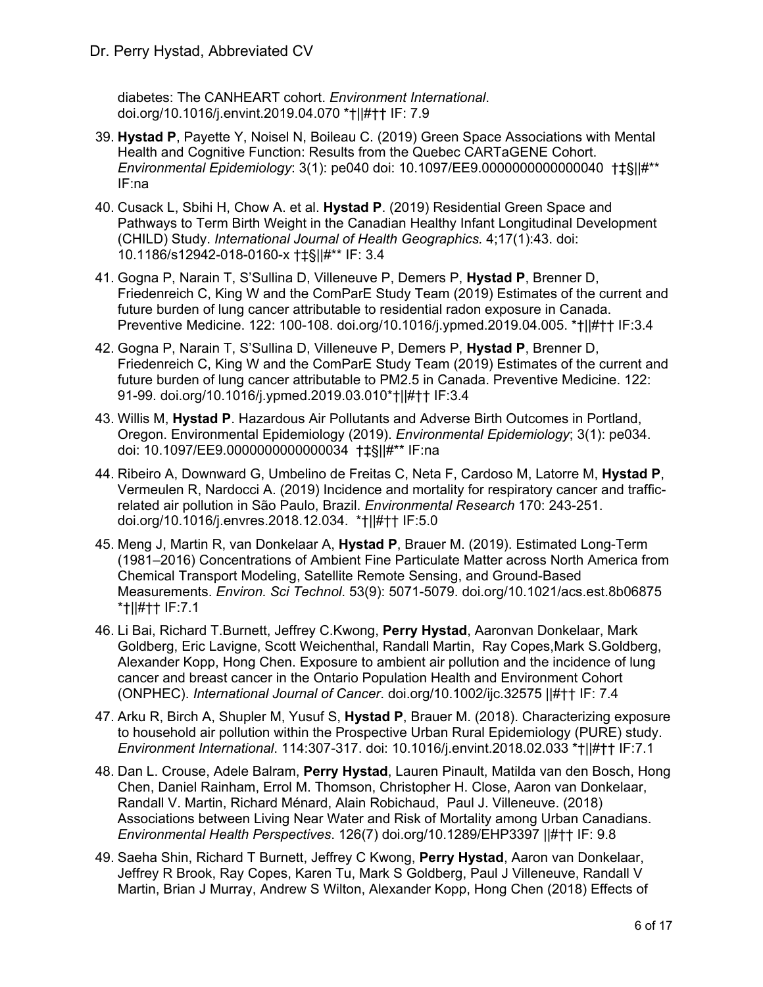diabetes: The CANHEART cohort. *Environment International*. doi.org/10.1016/j.envint.2019.04.070 \*†||#†† IF: 7.9

- 39. **Hystad P**, Payette Y, Noisel N, Boileau C. (2019) Green Space Associations with Mental Health and Cognitive Function: Results from the Quebec CARTaGENE Cohort. *Environmental Epidemiology*: 3(1): pe040 doi: 10.1097/EE9.0000000000000040 †‡§||#\*\* IF:na
- 40. Cusack L, Sbihi H, Chow A. et al. **Hystad P**. (2019) Residential Green Space and Pathways to Term Birth Weight in the Canadian Healthy Infant Longitudinal Development (CHILD) Study. *International Journal of Health Geographics.* 4;17(1):43. doi: 10.1186/s12942-018-0160-x †‡§||#\*\* IF: 3.4
- 41. Gogna P, Narain T, S'Sullina D, Villeneuve P, Demers P, **Hystad P**, Brenner D, Friedenreich C, King W and the ComParE Study Team (2019) Estimates of the current and future burden of lung cancer attributable to residential radon exposure in Canada. Preventive Medicine. 122: 100-108. doi.org/10.1016/j.ypmed.2019.04.005. \*†||#†† IF:3.4
- 42. Gogna P, Narain T, S'Sullina D, Villeneuve P, Demers P, **Hystad P**, Brenner D, Friedenreich C, King W and the ComParE Study Team (2019) Estimates of the current and future burden of lung cancer attributable to PM2.5 in Canada. Preventive Medicine. 122: 91-99. doi.org/10.1016/j.ypmed.2019.03.010\*†||#†† IF:3.4
- 43. Willis M, **Hystad P**. Hazardous Air Pollutants and Adverse Birth Outcomes in Portland, Oregon. Environmental Epidemiology (2019). *Environmental Epidemiology*; 3(1): pe034. doi: 10.1097/EE9.0000000000000034 †‡§||#\*\* IF:na
- 44. Ribeiro A, Downward G, Umbelino de Freitas C, Neta F, Cardoso M, Latorre M, **Hystad P**, Vermeulen R, Nardocci A. (2019) Incidence and mortality for respiratory cancer and trafficrelated air pollution in São Paulo, Brazil. *Environmental Research* 170: 243-251. doi.org/10.1016/j.envres.2018.12.034. \*†||#†† IF:5.0
- 45. Meng J, Martin R, van Donkelaar A, **Hystad P**, Brauer M. (2019). Estimated Long-Term (1981–2016) Concentrations of Ambient Fine Particulate Matter across North America from Chemical Transport Modeling, Satellite Remote Sensing, and Ground-Based Measurements. *Environ. Sci Technol*. 53(9): 5071-5079. doi.org/10.1021/acs.est.8b06875 \*†||#†† IF:7.1
- 46. Li Bai, Richard T.Burnett, Jeffrey C.Kwong, **Perry Hystad**, Aaronvan Donkelaar, Mark Goldberg, Eric Lavigne, Scott Weichenthal, Randall Martin, Ray Copes,Mark S.Goldberg, Alexander Kopp, Hong Chen. Exposure to ambient air pollution and the incidence of lung cancer and breast cancer in the Ontario Population Health and Environment Cohort (ONPHEC). *International Journal of Cancer*. doi.org/10.1002/ijc.32575 ||#†† IF: 7.4
- 47. Arku R, Birch A, Shupler M, Yusuf S, **Hystad P**, Brauer M. (2018). Characterizing exposure to household air pollution within the Prospective Urban Rural Epidemiology (PURE) study. *Environment International*. 114:307-317. doi: 10.1016/j.envint.2018.02.033 \*†||#†† IF:7.1
- 48. Dan L. Crouse, Adele Balram, **Perry Hystad**, Lauren Pinault, Matilda van den Bosch, Hong Chen, Daniel Rainham, Errol M. Thomson, Christopher H. Close, Aaron van Donkelaar, Randall V. Martin, Richard Ménard, Alain Robichaud, Paul J. Villeneuve. (2018) Associations between Living Near Water and Risk of Mortality among Urban Canadians. *Environmental Health Perspectives*. 126(7) doi.org/10.1289/EHP3397 ||#†† IF: 9.8
- 49. Saeha Shin, Richard T Burnett, Jeffrey C Kwong, **Perry Hystad**, Aaron van Donkelaar, Jeffrey R Brook, Ray Copes, Karen Tu, Mark S Goldberg, Paul J Villeneuve, Randall V Martin, Brian J Murray, Andrew S Wilton, Alexander Kopp, Hong Chen (2018) Effects of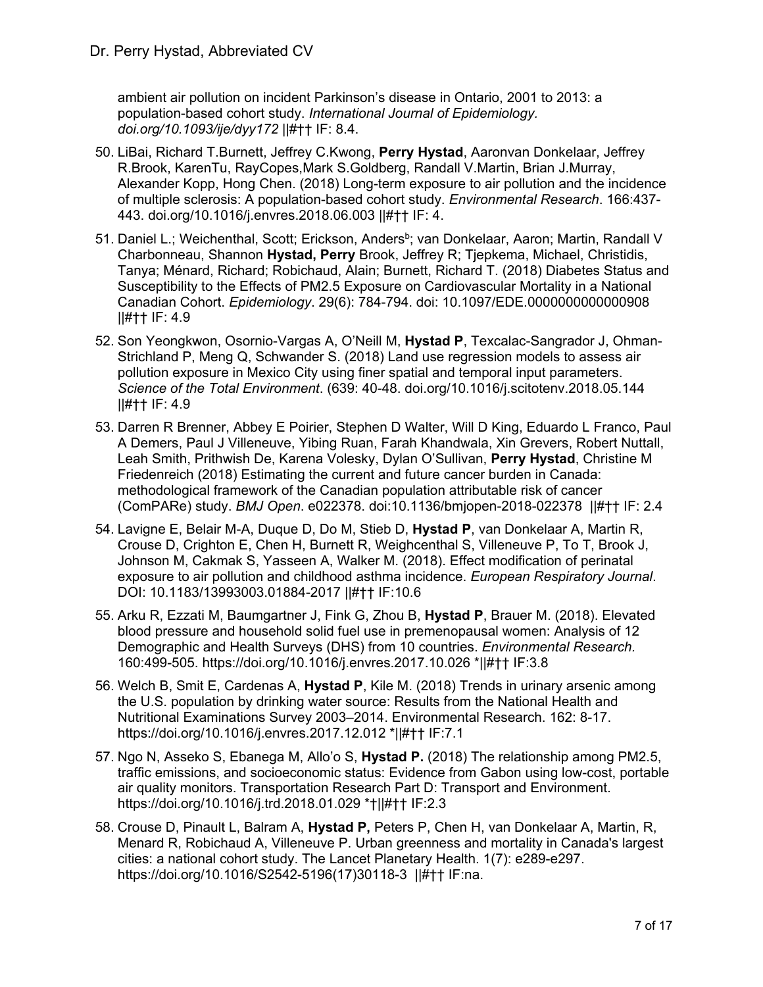ambient air pollution on incident Parkinson's disease in Ontario, 2001 to 2013: a population-based cohort study. *International Journal of Epidemiology. doi.org/10.1093/ije/dyy172* ||#†† IF: 8.4.

- 50. LiBai, Richard T.Burnett, Jeffrey C.Kwong, **Perry Hystad**, Aaronvan Donkelaar, Jeffrey R.Brook, KarenTu, RayCopes,Mark S.Goldberg, Randall V.Martin, Brian J.Murray, Alexander Kopp, Hong Chen. (2018) Long-term exposure to air pollution and the incidence of multiple sclerosis: A population-based cohort study. *Environmental Research*. 166:437- 443. doi.org/10.1016/j.envres.2018.06.003 ||#†† IF: 4.
- 51. Daniel L.; Weichenthal, Scott; Erickson, Anders<sup>b</sup>; van Donkelaar, Aaron; Martin, Randall V Charbonneau, Shannon **Hystad, Perry** Brook, Jeffrey R; Tjepkema, Michael, Christidis, Tanya; Ménard, Richard; Robichaud, Alain; Burnett, Richard T. (2018) Diabetes Status and Susceptibility to the Effects of PM2.5 Exposure on Cardiovascular Mortality in a National Canadian Cohort. *Epidemiology*. 29(6): 784-794. doi: 10.1097/EDE.0000000000000908 ||#†† IF: 4.9
- 52. Son Yeongkwon, Osornio-Vargas A, O'Neill M, **Hystad P**, Texcalac-Sangrador J, Ohman-Strichland P, Meng Q, Schwander S. (2018) Land use regression models to assess air pollution exposure in Mexico City using finer spatial and temporal input parameters. *Science of the Total Environment*. (639: 40-48. doi.org/10.1016/j.scitotenv.2018.05.144 ||#†† IF: 4.9
- 53. Darren R Brenner, Abbey E Poirier, Stephen D Walter, Will D King, Eduardo L Franco, Paul A Demers, Paul J Villeneuve, Yibing Ruan, Farah Khandwala, Xin Grevers, Robert Nuttall, Leah Smith, Prithwish De, Karena Volesky, Dylan O'Sullivan, **Perry Hystad**, Christine M Friedenreich (2018) Estimating the current and future cancer burden in Canada: methodological framework of the Canadian population attributable risk of cancer (ComPARe) study. *BMJ Open*. e022378. doi:10.1136/bmjopen-2018-022378 ||#†† IF: 2.4
- 54. Lavigne E, Belair M-A, Duque D, Do M, Stieb D, **Hystad P**, van Donkelaar A, Martin R, Crouse D, Crighton E, Chen H, Burnett R, Weighcenthal S, Villeneuve P, To T, Brook J, Johnson M, Cakmak S, Yasseen A, Walker M. (2018). Effect modification of perinatal exposure to air pollution and childhood asthma incidence. *European Respiratory Journal*. DOI: 10.1183/13993003.01884-2017 ||#†† IF:10.6
- 55. Arku R, Ezzati M, Baumgartner J, Fink G, Zhou B, **Hystad P**, Brauer M. (2018). Elevated blood pressure and household solid fuel use in premenopausal women: Analysis of 12 Demographic and Health Surveys (DHS) from 10 countries. *Environmental Research.* 160:499-505. https://doi.org/10.1016/j.envres.2017.10.026 \*||#†† IF:3.8
- 56. Welch B, Smit E, Cardenas A, **Hystad P**, Kile M. (2018) Trends in urinary arsenic among the U.S. population by drinking water source: Results from the National Health and Nutritional Examinations Survey 2003–2014. Environmental Research. 162: 8-17. https://doi.org/10.1016/j.envres.2017.12.012 \*||#†† IF:7.1
- 57. Ngo N, Asseko S, Ebanega M, Allo'o S, **Hystad P.** (2018) The relationship among PM2.5, traffic emissions, and socioeconomic status: Evidence from Gabon using low-cost, portable air quality monitors. Transportation Research Part D: Transport and Environment. https://doi.org/10.1016/j.trd.2018.01.029 \*†||#†† IF:2.3
- 58. Crouse D, Pinault L, Balram A, **Hystad P,** Peters P, Chen H, van Donkelaar A, Martin, R, Menard R, Robichaud A, Villeneuve P. Urban greenness and mortality in Canada's largest cities: a national cohort study. The Lancet Planetary Health. 1(7): e289-e297. https://doi.org/10.1016/S2542-5196(17)30118-3 ||#†† IF:na.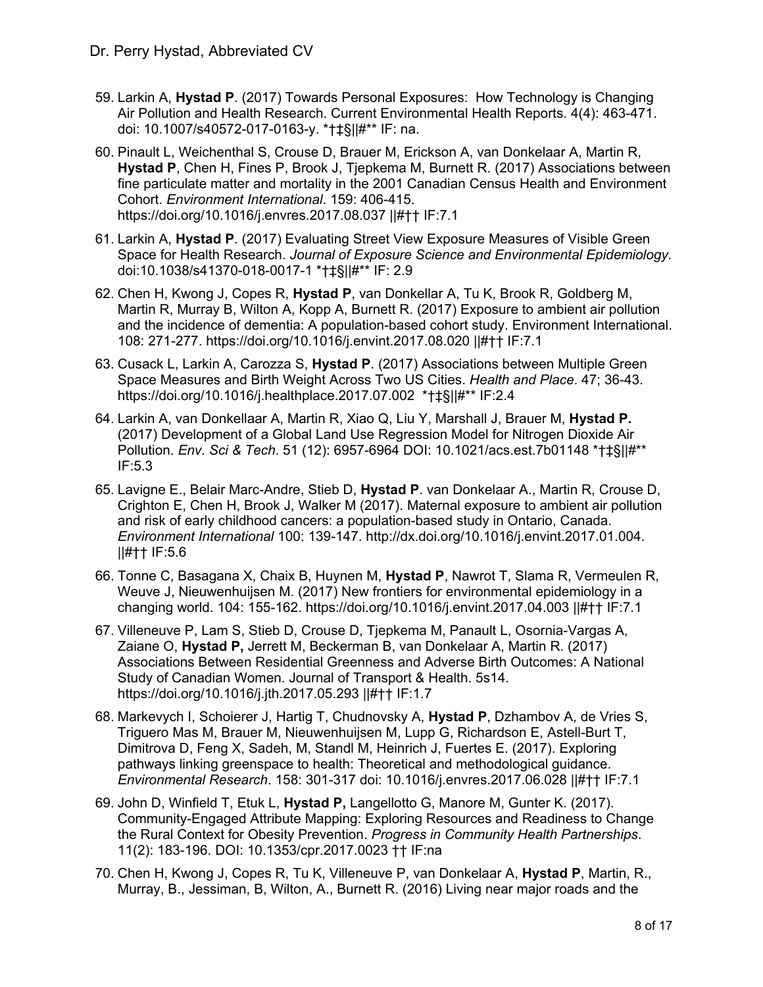- 59. Larkin A, **Hystad P**. (2017) Towards Personal Exposures: How Technology is Changing Air Pollution and Health Research. Current Environmental Health Reports. 4(4): 463-471. doi: 10.1007/s40572-017-0163-y. \*†‡§||#\*\* IF: na.
- 60. Pinault L, Weichenthal S, Crouse D, Brauer M, Erickson A, van Donkelaar A, Martin R, **Hystad P**, Chen H, Fines P, Brook J, Tjepkema M, Burnett R. (2017) Associations between fine particulate matter and mortality in the 2001 Canadian Census Health and Environment Cohort. *Environment International*. 159: 406-415. https://doi.org/10.1016/j.envres.2017.08.037 ||#†† IF:7.1
- 61. Larkin A, **Hystad P**. (2017) Evaluating Street View Exposure Measures of Visible Green Space for Health Research. *Journal of Exposure Science and Environmental Epidemiology.* doi:10.1038/s41370-018-0017-1 \*†‡§||#\*\* IF: 2.9
- 62. Chen H, Kwong J, Copes R, **Hystad P**, van Donkellar A, Tu K, Brook R, Goldberg M, Martin R, Murray B, Wilton A, Kopp A, Burnett R. (2017) Exposure to ambient air pollution and the incidence of dementia: A population-based cohort study. Environment International. 108: 271-277. https://doi.org/10.1016/j.envint.2017.08.020 ||#†† IF:7.1
- 63. Cusack L, Larkin A, Carozza S, **Hystad P**. (2017) Associations between Multiple Green Space Measures and Birth Weight Across Two US Cities. *Health and Place*. 47; 36-43. https://doi.org/10.1016/j.healthplace.2017.07.002 \*†‡§||#\*\* IF:2.4
- 64. Larkin A, van Donkellaar A, Martin R, Xiao Q, Liu Y, Marshall J, Brauer M, **Hystad P.**  (2017) Development of a Global Land Use Regression Model for Nitrogen Dioxide Air Pollution. *Env. Sci & Tech*. 51 (12): 6957-6964 DOI: 10.1021/acs.est.7b01148 \*†‡§||#\*\* IF:5.3
- 65. Lavigne E., Belair Marc-Andre, Stieb D, **Hystad P**. van Donkelaar A., Martin R, Crouse D, Crighton E, Chen H, Brook J, Walker M (2017). Maternal exposure to ambient air pollution and risk of early childhood cancers: a population-based study in Ontario, Canada. *Environment International* 100: 139-147. http://dx.doi.org/10.1016/j.envint.2017.01.004. ||#†† IF:5.6
- 66. Tonne C, Basagana X, Chaix B, Huynen M, **Hystad P**, Nawrot T, Slama R, Vermeulen R, Weuve J, Nieuwenhuijsen M. (2017) New frontiers for environmental epidemiology in a changing world. 104: 155-162. https://doi.org/10.1016/j.envint.2017.04.003 ||#†† IF:7.1
- 67. Villeneuve P, Lam S, Stieb D, Crouse D, Tjepkema M, Panault L, Osornia-Vargas A, Zaiane O, **Hystad P,** Jerrett M, Beckerman B, van Donkelaar A, Martin R. (2017) Associations Between Residential Greenness and Adverse Birth Outcomes: A National Study of Canadian Women. Journal of Transport & Health. 5s14. https://doi.org/10.1016/j.jth.2017.05.293 ||#†† IF:1.7
- 68. Markevych I, Schoierer J, Hartig T, Chudnovsky A, **Hystad P**, Dzhambov A, de Vries S, Triguero Mas M, Brauer M, Nieuwenhuijsen M, Lupp G, Richardson E, Astell-Burt T, Dimitrova D, Feng X, Sadeh, M, Standl M, Heinrich J, Fuertes E. (2017). Exploring pathways linking greenspace to health: Theoretical and methodological guidance. *Environmental Research*. 158: 301-317 doi: 10.1016/j.envres.2017.06.028 ||#†† IF:7.1
- 69. John D, Winfield T, Etuk L, **Hystad P,** Langellotto G, Manore M, Gunter K. (2017). Community-Engaged Attribute Mapping: Exploring Resources and Readiness to Change the Rural Context for Obesity Prevention. *Progress in Community Health Partnerships*. 11(2): 183-196. DOI: 10.1353/cpr.2017.0023 †† IF:na
- 70. Chen H, Kwong J, Copes R, Tu K, Villeneuve P, van Donkelaar A, **Hystad P**, Martin, R., Murray, B., Jessiman, B, Wilton, A., Burnett R. (2016) Living near major roads and the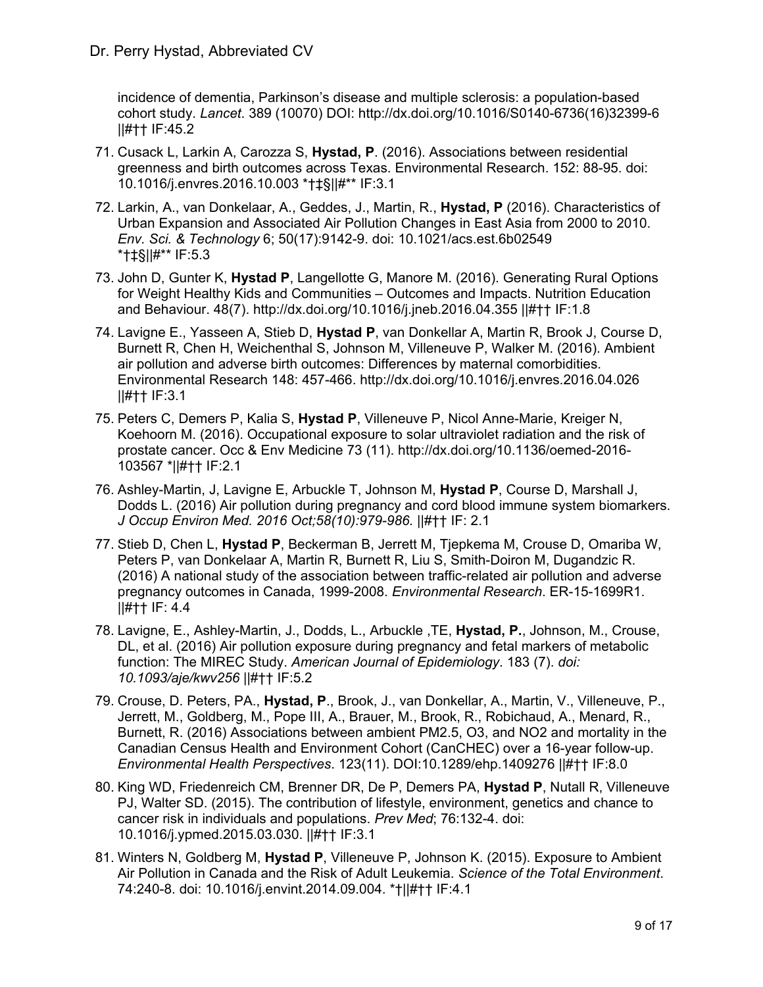incidence of dementia, Parkinson's disease and multiple sclerosis: a population-based cohort study. *Lancet*. 389 (10070) DOI: http://dx.doi.org/10.1016/S0140-6736(16)32399-6 ||#†† IF:45.2

- 71. Cusack L, Larkin A, Carozza S, **Hystad, P**. (2016). Associations between residential greenness and birth outcomes across Texas. Environmental Research. 152: 88-95. doi: 10.1016/j.envres.2016.10.003 \*†‡§||#\*\* IF:3.1
- 72. Larkin, A., van Donkelaar, A., Geddes, J., Martin, R., **Hystad, P** (2016). Characteristics of Urban Expansion and Associated Air Pollution Changes in East Asia from 2000 to 2010. *Env. Sci. & Technology* 6; 50(17):9142-9. doi: 10.1021/acs.est.6b02549 \*†‡§||#\*\* IF:5.3
- 73. John D, Gunter K, **Hystad P**, Langellotte G, Manore M. (2016). Generating Rural Options for Weight Healthy Kids and Communities – Outcomes and Impacts. Nutrition Education and Behaviour. 48(7). http://dx.doi.org/10.1016/j.jneb.2016.04.355 ||#†† IF:1.8
- 74. Lavigne E., Yasseen A, Stieb D, **Hystad P**, van Donkellar A, Martin R, Brook J, Course D, Burnett R, Chen H, Weichenthal S, Johnson M, Villeneuve P, Walker M. (2016). Ambient air pollution and adverse birth outcomes: Differences by maternal comorbidities. Environmental Research 148: 457-466. http://dx.doi.org/10.1016/j.envres.2016.04.026 ||#†† IF:3.1
- 75. Peters C, Demers P, Kalia S, **Hystad P**, Villeneuve P, Nicol Anne-Marie, Kreiger N, Koehoorn M. (2016). Occupational exposure to solar ultraviolet radiation and the risk of prostate cancer. Occ & Env Medicine 73 (11). http://dx.doi.org/10.1136/oemed-2016- 103567 \*||#†† IF:2.1
- 76. Ashley-Martin, J, Lavigne E, Arbuckle T, Johnson M, **Hystad P**, Course D, Marshall J, Dodds L. (2016) Air pollution during pregnancy and cord blood immune system biomarkers. *J Occup Environ Med. 2016 Oct;58(10):979-986.* ||#†† IF: 2.1
- 77. Stieb D, Chen L, **Hystad P**, Beckerman B, Jerrett M, Tjepkema M, Crouse D, Omariba W, Peters P, van Donkelaar A, Martin R, Burnett R, Liu S, Smith-Doiron M, Dugandzic R. (2016) A national study of the association between traffic-related air pollution and adverse pregnancy outcomes in Canada, 1999-2008. *Environmental Research*. ER-15-1699R1. ||#†† IF: 4.4
- 78. Lavigne, E., Ashley-Martin, J., Dodds, L., Arbuckle ,TE, **Hystad, P.**, Johnson, M., Crouse, DL, et al. (2016) Air pollution exposure during pregnancy and fetal markers of metabolic function: The MIREC Study. *American Journal of Epidemiology*. 183 (7). *doi: 10.1093/aje/kwv256* ||#†† IF:5.2
- 79. Crouse, D. Peters, PA., **Hystad, P**., Brook, J., van Donkellar, A., Martin, V., Villeneuve, P., Jerrett, M., Goldberg, M., Pope III, A., Brauer, M., Brook, R., Robichaud, A., Menard, R., Burnett, R. (2016) Associations between ambient PM2.5, O3, and NO2 and mortality in the Canadian Census Health and Environment Cohort (CanCHEC) over a 16-year follow-up. *Environmental Health Perspectives*. 123(11). DOI:10.1289/ehp.1409276 ||#†† IF:8.0
- 80. King WD, Friedenreich CM, Brenner DR, De P, Demers PA, **Hystad P**, Nutall R, Villeneuve PJ, Walter SD. (2015). The contribution of lifestyle, environment, genetics and chance to cancer risk in individuals and populations. *Prev Med*; 76:132-4. doi: 10.1016/j.ypmed.2015.03.030. ||#†† IF:3.1
- 81. Winters N, Goldberg M, **Hystad P**, Villeneuve P, Johnson K. (2015). Exposure to Ambient Air Pollution in Canada and the Risk of Adult Leukemia. *Science of the Total Environment*. 74:240-8. doi: 10.1016/j.envint.2014.09.004. \*†||#†† IF:4.1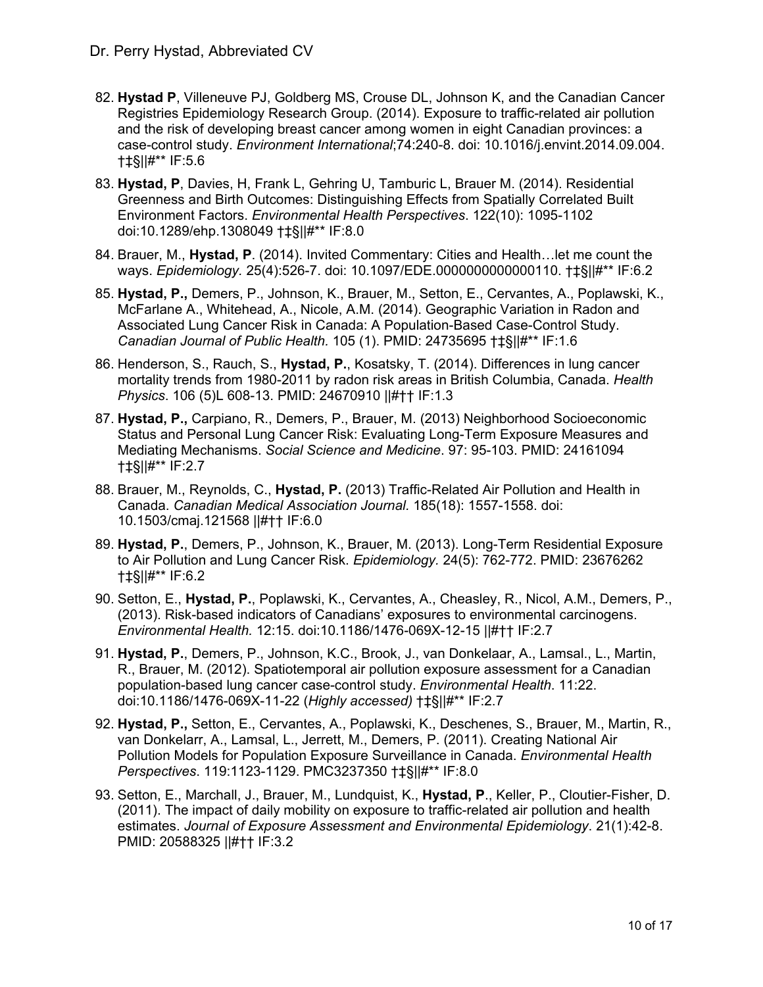- 82. **Hystad P**, Villeneuve PJ, Goldberg MS, Crouse DL, Johnson K, and the Canadian Cancer Registries Epidemiology Research Group. (2014). Exposure to traffic-related air pollution and the risk of developing breast cancer among women in eight Canadian provinces: a case-control study. *Environment International*;74:240-8. doi: 10.1016/j.envint.2014.09.004. †‡§||#\*\* IF:5.6
- 83. **Hystad, P**, Davies, H, Frank L, Gehring U, Tamburic L, Brauer M. (2014). Residential Greenness and Birth Outcomes: Distinguishing Effects from Spatially Correlated Built Environment Factors. *Environmental Health Perspectives*. 122(10): 1095-1102 doi:10.1289/ehp.1308049 †‡§||#\*\* IF:8.0
- 84. Brauer, M., **Hystad, P**. (2014). Invited Commentary: Cities and Health…let me count the ways. *Epidemiology.* 25(4):526-7. doi: 10.1097/EDE.0000000000000110. †‡§||#\*\* IF:6.2
- 85. **Hystad, P.,** Demers, P., Johnson, K., Brauer, M., Setton, E., Cervantes, A., Poplawski, K., McFarlane A., Whitehead, A., Nicole, A.M. (2014). Geographic Variation in Radon and Associated Lung Cancer Risk in Canada: A Population-Based Case-Control Study. *Canadian Journal of Public Health.* 105 (1). PMID: 24735695 †‡§||#\*\* IF:1.6
- 86. Henderson, S., Rauch, S., **Hystad, P.**, Kosatsky, T. (2014). Differences in lung cancer mortality trends from 1980-2011 by radon risk areas in British Columbia, Canada. *Health Physics*. 106 (5)L 608-13. PMID: 24670910 ||#†† IF:1.3
- 87. **Hystad, P.,** Carpiano, R., Demers, P., Brauer, M. (2013) Neighborhood Socioeconomic Status and Personal Lung Cancer Risk: Evaluating Long-Term Exposure Measures and Mediating Mechanisms. *Social Science and Medicine*. 97: 95-103. PMID: 24161094 †‡§||#\*\* IF:2.7
- 88. Brauer, M., Reynolds, C., **Hystad, P.** (2013) Traffic-Related Air Pollution and Health in Canada. *Canadian Medical Association Journal.* 185(18): 1557-1558. doi: 10.1503/cmaj.121568 ||#†† IF:6.0
- 89. **Hystad, P.**, Demers, P., Johnson, K., Brauer, M. (2013). Long-Term Residential Exposure to Air Pollution and Lung Cancer Risk. *Epidemiology.* 24(5): 762-772. PMID: 23676262 †‡§||#\*\* IF:6.2
- 90. Setton, E., **Hystad, P.**, Poplawski, K., Cervantes, A., Cheasley, R., Nicol, A.M., Demers, P., (2013). Risk-based indicators of Canadians' exposures to environmental carcinogens. *Environmental Health.* 12:15. doi:10.1186/1476-069X-12-15 ||#†† IF:2.7
- 91. **Hystad, P.**, Demers, P., Johnson, K.C., Brook, J., van Donkelaar, A., Lamsal., L., Martin, R., Brauer, M. (2012). Spatiotemporal air pollution exposure assessment for a Canadian population-based lung cancer case-control study. *Environmental Health*. 11:22. doi:10.1186/1476-069X-11-22 (*Highly accessed)* †‡§||#\*\* IF:2.7
- 92. **Hystad, P.,** Setton, E., Cervantes, A., Poplawski, K., Deschenes, S., Brauer, M., Martin, R., van Donkelarr, A., Lamsal, L., Jerrett, M., Demers, P. (2011). Creating National Air Pollution Models for Population Exposure Surveillance in Canada. *Environmental Health Perspectives*. 119:1123-1129. PMC3237350 †‡§||#\*\* IF:8.0
- 93. Setton, E., Marchall, J., Brauer, M., Lundquist, K., **Hystad, P**., Keller, P., Cloutier-Fisher, D. (2011). The impact of daily mobility on exposure to traffic-related air pollution and health estimates. *Journal of Exposure Assessment and Environmental Epidemiology*. 21(1):42-8. PMID: 20588325 ||#†† IF:3.2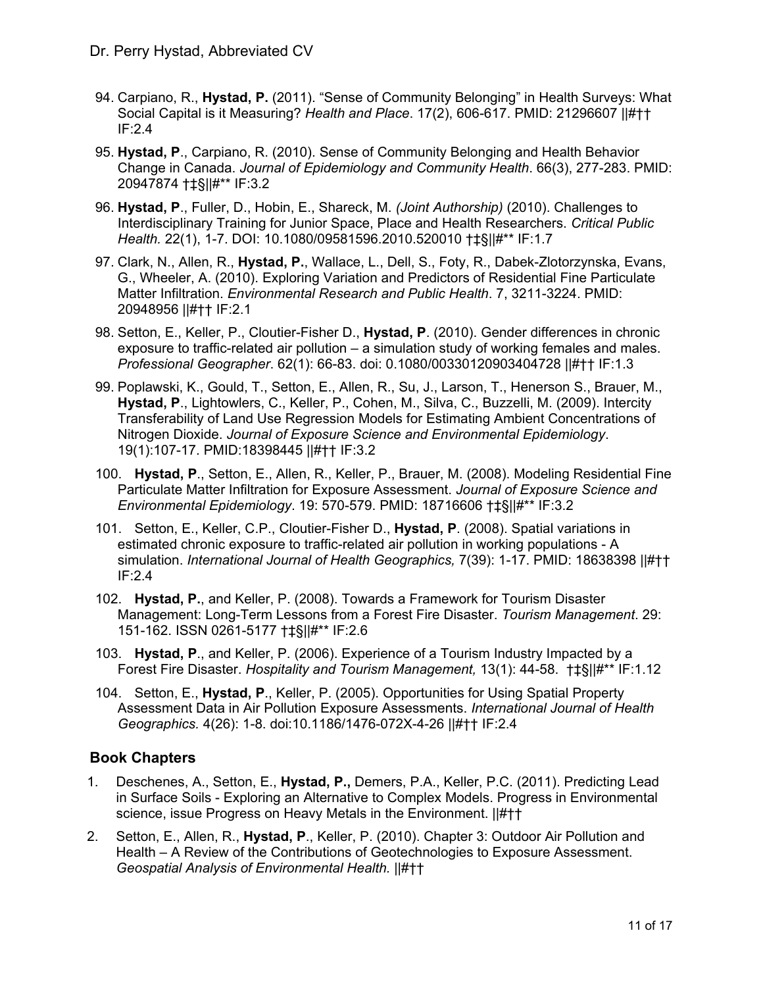- 94. Carpiano, R., **Hystad, P.** (2011). "Sense of Community Belonging" in Health Surveys: What Social Capital is it Measuring? *Health and Place*. 17(2), 606-617. PMID: 21296607 ||#†† IF:2.4
- 95. **Hystad, P**., Carpiano, R. (2010). Sense of Community Belonging and Health Behavior Change in Canada. *Journal of Epidemiology and Community Health*. 66(3), 277-283. PMID: 20947874 †‡§||#\*\* IF:3.2
- 96. **Hystad, P**., Fuller, D., Hobin, E., Shareck, M. *(Joint Authorship)* (2010). Challenges to Interdisciplinary Training for Junior Space, Place and Health Researchers. *Critical Public Health.* 22(1), 1-7. DOI: 10.1080/09581596.2010.520010 †‡§||#\*\* IF:1.7
- 97. Clark, N., Allen, R., **Hystad, P.**, Wallace, L., Dell, S., Foty, R., Dabek-Zlotorzynska, Evans, G., Wheeler, A. (2010). Exploring Variation and Predictors of Residential Fine Particulate Matter Infiltration. *Environmental Research and Public Health*. 7, 3211-3224. PMID: 20948956 ||#†† IF:2.1
- 98. Setton, E., Keller, P., Cloutier-Fisher D., **Hystad, P**. (2010). Gender differences in chronic exposure to traffic-related air pollution – a simulation study of working females and males. *Professional Geographer*. 62(1): 66-83. doi: 0.1080/00330120903404728 ||#†† IF:1.3
- 99. Poplawski, K., Gould, T., Setton, E., Allen, R., Su, J., Larson, T., Henerson S., Brauer, M., **Hystad, P**., Lightowlers, C., Keller, P., Cohen, M., Silva, C., Buzzelli, M. (2009). Intercity Transferability of Land Use Regression Models for Estimating Ambient Concentrations of Nitrogen Dioxide. *Journal of Exposure Science and Environmental Epidemiology*. 19(1):107-17. PMID:18398445 ||#†† IF:3.2
- 100. **Hystad, P**., Setton, E., Allen, R., Keller, P., Brauer, M. (2008). Modeling Residential Fine Particulate Matter Infiltration for Exposure Assessment. *Journal of Exposure Science and Environmental Epidemiology*. 19: 570-579. PMID: 18716606 †‡§||#\*\* IF:3.2
- 101. Setton, E., Keller, C.P., Cloutier-Fisher D., **Hystad, P**. (2008). Spatial variations in estimated chronic exposure to traffic-related air pollution in working populations - A simulation. *International Journal of Health Geographics,* 7(39): 1-17. PMID: 18638398 ||#†† IF:2.4
- 102. **Hystad, P.**, and Keller, P. (2008). Towards a Framework for Tourism Disaster Management: Long-Term Lessons from a Forest Fire Disaster. *Tourism Management*. 29: 151-162. ISSN 0261-5177 †‡§||#\*\* IF:2.6
- 103. **Hystad, P**., and Keller, P. (2006). Experience of a Tourism Industry Impacted by a Forest Fire Disaster. *Hospitality and Tourism Management,* 13(1): 44-58. †‡§||#\*\* IF:1.12
- 104. Setton, E., **Hystad, P**., Keller, P. (2005). Opportunities for Using Spatial Property Assessment Data in Air Pollution Exposure Assessments. *International Journal of Health Geographics.* 4(26): 1-8. doi:10.1186/1476-072X-4-26 ||#†† IF:2.4

## **Book Chapters**

- 1. Deschenes, A., Setton, E., **Hystad, P.,** Demers, P.A., Keller, P.C. (2011). Predicting Lead in Surface Soils - Exploring an Alternative to Complex Models. Progress in Environmental science, issue Progress on Heavy Metals in the Environment. ||#††
- 2. Setton, E., Allen, R., **Hystad, P**., Keller, P. (2010). Chapter 3: Outdoor Air Pollution and Health – A Review of the Contributions of Geotechnologies to Exposure Assessment. *Geospatial Analysis of Environmental Health.* ||#††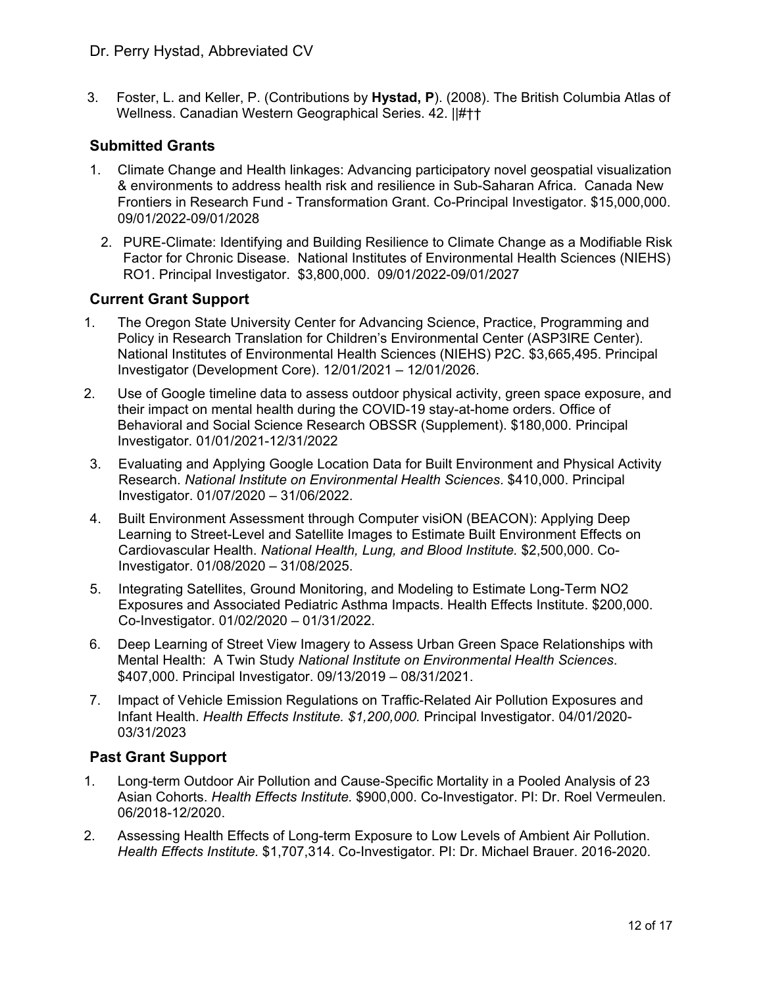3. Foster, L. and Keller, P. (Contributions by **Hystad, P**). (2008). The British Columbia Atlas of Wellness. Canadian Western Geographical Series. 42. ||#††

### **Submitted Grants**

- 1. Climate Change and Health linkages: Advancing participatory novel geospatial visualization & environments to address health risk and resilience in Sub-Saharan Africa. Canada New Frontiers in Research Fund - Transformation Grant. Co-Principal Investigator. \$15,000,000. 09/01/2022-09/01/2028
- 2. PURE-Climate: Identifying and Building Resilience to Climate Change as a Modifiable Risk Factor for Chronic Disease. National Institutes of Environmental Health Sciences (NIEHS) RO1. Principal Investigator. \$3,800,000. 09/01/2022-09/01/2027

#### **Current Grant Support**

- 1. The Oregon State University Center for Advancing Science, Practice, Programming and Policy in Research Translation for Children's Environmental Center (ASP3IRE Center). National Institutes of Environmental Health Sciences (NIEHS) P2C. \$3,665,495. Principal Investigator (Development Core). 12/01/2021 – 12/01/2026.
- 2. Use of Google timeline data to assess outdoor physical activity, green space exposure, and their impact on mental health during the COVID-19 stay-at-home orders. Office of Behavioral and Social Science Research OBSSR (Supplement). \$180,000. Principal Investigator. 01/01/2021-12/31/2022
- 3. Evaluating and Applying Google Location Data for Built Environment and Physical Activity Research. *National Institute on Environmental Health Sciences*. \$410,000. Principal Investigator. 01/07/2020 – 31/06/2022.
- 4. Built Environment Assessment through Computer visiON (BEACON): Applying Deep Learning to Street-Level and Satellite Images to Estimate Built Environment Effects on Cardiovascular Health. *National Health, Lung, and Blood Institute.* \$2,500,000. Co-Investigator. 01/08/2020 – 31/08/2025.
- 5. Integrating Satellites, Ground Monitoring, and Modeling to Estimate Long-Term NO2 Exposures and Associated Pediatric Asthma Impacts. Health Effects Institute. \$200,000. Co-Investigator. 01/02/2020 – 01/31/2022.
- 6. Deep Learning of Street View Imagery to Assess Urban Green Space Relationships with Mental Health: A Twin Study *National Institute on Environmental Health Sciences*. \$407,000. Principal Investigator. 09/13/2019 – 08/31/2021.
- 7. Impact of Vehicle Emission Regulations on Traffic-Related Air Pollution Exposures and Infant Health. *Health Effects Institute. \$1,200,000.* Principal Investigator. 04/01/2020- 03/31/2023

## **Past Grant Support**

- 1. Long-term Outdoor Air Pollution and Cause-Specific Mortality in a Pooled Analysis of 23 Asian Cohorts. *Health Effects Institute.* \$900,000. Co-Investigator. PI: Dr. Roel Vermeulen. 06/2018-12/2020.
- 2. Assessing Health Effects of Long-term Exposure to Low Levels of Ambient Air Pollution. *Health Effects Institute.* \$1,707,314. Co-Investigator. PI: Dr. Michael Brauer. 2016-2020.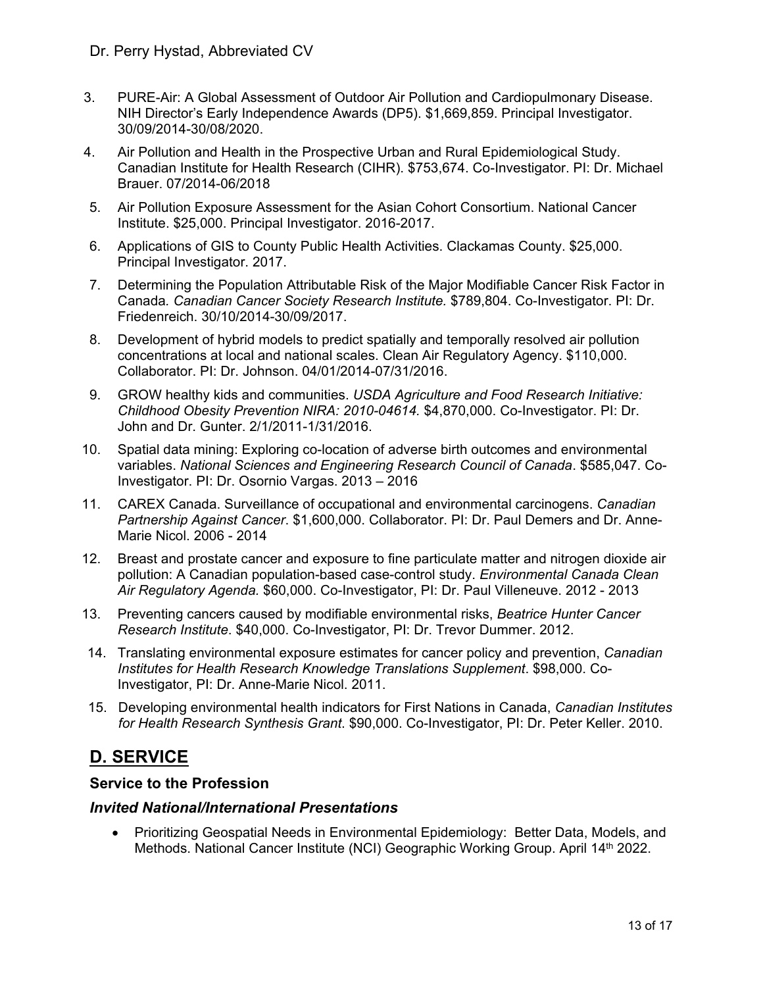- 3. PURE-Air: A Global Assessment of Outdoor Air Pollution and Cardiopulmonary Disease. NIH Director's Early Independence Awards (DP5). \$1,669,859. Principal Investigator. 30/09/2014-30/08/2020.
- 4. Air Pollution and Health in the Prospective Urban and Rural Epidemiological Study. Canadian Institute for Health Research (CIHR). \$753,674. Co-Investigator. PI: Dr. Michael Brauer. 07/2014-06/2018
- 5. Air Pollution Exposure Assessment for the Asian Cohort Consortium. National Cancer Institute. \$25,000. Principal Investigator. 2016-2017.
- 6. Applications of GIS to County Public Health Activities. Clackamas County. \$25,000. Principal Investigator. 2017.
- 7. Determining the Population Attributable Risk of the Major Modifiable Cancer Risk Factor in Canada*. Canadian Cancer Society Research Institute.* \$789,804. Co-Investigator. PI: Dr. Friedenreich. 30/10/2014-30/09/2017.
- 8. Development of hybrid models to predict spatially and temporally resolved air pollution concentrations at local and national scales. Clean Air Regulatory Agency. \$110,000. Collaborator. PI: Dr. Johnson. 04/01/2014-07/31/2016.
- 9. GROW healthy kids and communities. *USDA Agriculture and Food Research Initiative: Childhood Obesity Prevention NIRA: 2010-04614.* \$4,870,000. Co-Investigator. PI: Dr. John and Dr. Gunter. 2/1/2011-1/31/2016.
- 10. Spatial data mining: Exploring co-location of adverse birth outcomes and environmental variables. *National Sciences and Engineering Research Council of Canada*. \$585,047. Co-Investigator. PI: Dr. Osornio Vargas. 2013 – 2016
- 11. CAREX Canada. Surveillance of occupational and environmental carcinogens. *Canadian Partnership Against Cancer*. \$1,600,000. Collaborator. PI: Dr. Paul Demers and Dr. Anne-Marie Nicol. 2006 - 2014
- 12. Breast and prostate cancer and exposure to fine particulate matter and nitrogen dioxide air pollution: A Canadian population-based case-control study. *Environmental Canada Clean Air Regulatory Agenda.* \$60,000. Co-Investigator, PI: Dr. Paul Villeneuve. 2012 - 2013
- 13. Preventing cancers caused by modifiable environmental risks, *Beatrice Hunter Cancer Research Institute*. \$40,000. Co-Investigator, PI: Dr. Trevor Dummer. 2012.
- 14. Translating environmental exposure estimates for cancer policy and prevention, *Canadian Institutes for Health Research Knowledge Translations Supplement*. \$98,000. Co-Investigator, PI: Dr. Anne-Marie Nicol. 2011.
- 15. Developing environmental health indicators for First Nations in Canada, *Canadian Institutes for Health Research Synthesis Grant*. \$90,000. Co-Investigator, PI: Dr. Peter Keller. 2010.

# **D. SERVICE**

#### **Service to the Profession**

#### *Invited National/International Presentations*

 Prioritizing Geospatial Needs in Environmental Epidemiology: Better Data, Models, and Methods. National Cancer Institute (NCI) Geographic Working Group. April 14<sup>th</sup> 2022.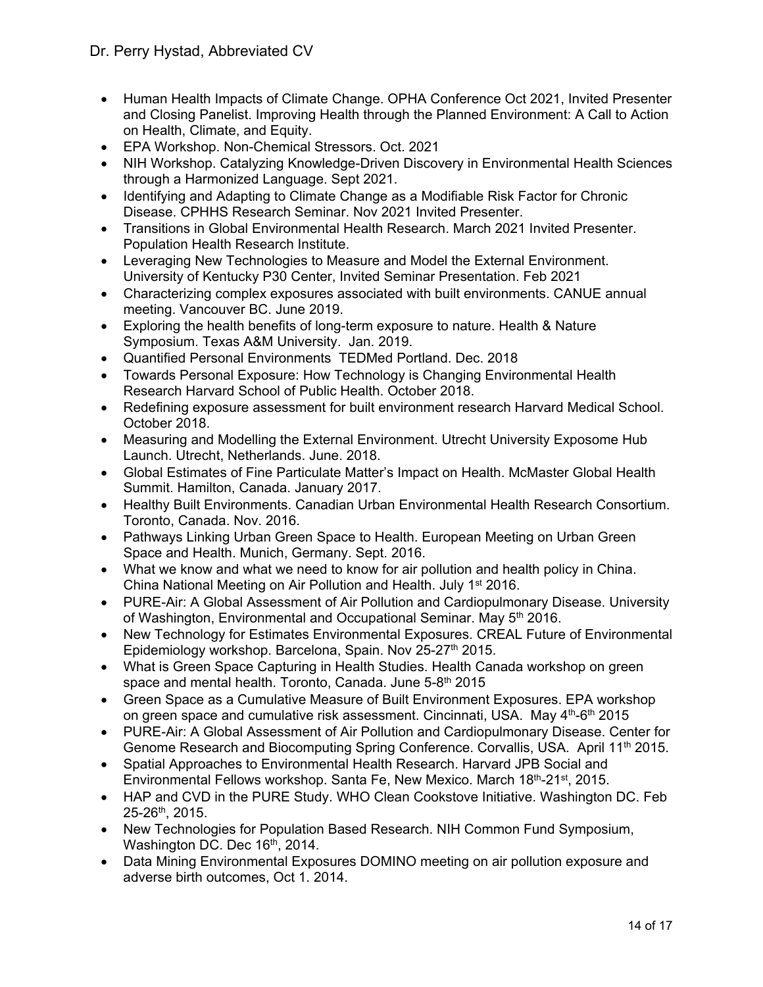- Human Health Impacts of Climate Change. OPHA Conference Oct 2021, Invited Presenter and Closing Panelist. Improving Health through the Planned Environment: A Call to Action on Health, Climate, and Equity.
- EPA Workshop. Non-Chemical Stressors. Oct. 2021
- NIH Workshop. Catalyzing Knowledge-Driven Discovery in Environmental Health Sciences through a Harmonized Language. Sept 2021.
- Identifying and Adapting to Climate Change as a Modifiable Risk Factor for Chronic Disease. CPHHS Research Seminar. Nov 2021 Invited Presenter.
- Transitions in Global Environmental Health Research. March 2021 Invited Presenter. Population Health Research Institute.
- Leveraging New Technologies to Measure and Model the External Environment. University of Kentucky P30 Center, Invited Seminar Presentation. Feb 2021
- Characterizing complex exposures associated with built environments. CANUE annual meeting. Vancouver BC. June 2019.
- Exploring the health benefits of long-term exposure to nature. Health & Nature Symposium. Texas A&M University. Jan. 2019.
- Quantified Personal Environments TEDMed Portland. Dec. 2018
- Towards Personal Exposure: How Technology is Changing Environmental Health Research Harvard School of Public Health. October 2018.
- Redefining exposure assessment for built environment research Harvard Medical School. October 2018.
- Measuring and Modelling the External Environment. Utrecht University Exposome Hub Launch. Utrecht, Netherlands. June. 2018.
- Global Estimates of Fine Particulate Matter's Impact on Health. McMaster Global Health Summit. Hamilton, Canada. January 2017.
- Healthy Built Environments. Canadian Urban Environmental Health Research Consortium. Toronto, Canada. Nov. 2016.
- Pathways Linking Urban Green Space to Health. European Meeting on Urban Green Space and Health. Munich, Germany. Sept. 2016.
- What we know and what we need to know for air pollution and health policy in China. China National Meeting on Air Pollution and Health. July 1st 2016.
- PURE-Air: A Global Assessment of Air Pollution and Cardiopulmonary Disease. University of Washington, Environmental and Occupational Seminar. May 5<sup>th</sup> 2016.
- New Technology for Estimates Environmental Exposures. CREAL Future of Environmental Epidemiology workshop. Barcelona, Spain. Nov 25-27<sup>th</sup> 2015.
- What is Green Space Capturing in Health Studies. Health Canada workshop on green space and mental health. Toronto, Canada. June 5-8<sup>th</sup> 2015
- Green Space as a Cumulative Measure of Built Environment Exposures. EPA workshop on green space and cumulative risk assessment. Cincinnati, USA. May 4<sup>th</sup>-6<sup>th</sup> 2015
- PURE-Air: A Global Assessment of Air Pollution and Cardiopulmonary Disease. Center for Genome Research and Biocomputing Spring Conference. Corvallis, USA. April 11<sup>th</sup> 2015.
- Spatial Approaches to Environmental Health Research. Harvard JPB Social and Environmental Fellows workshop. Santa Fe, New Mexico. March 18th-21st, 2015.
- HAP and CVD in the PURE Study. WHO Clean Cookstove Initiative. Washington DC. Feb 25-26th, 2015.
- New Technologies for Population Based Research. NIH Common Fund Symposium, Washington DC. Dec 16th, 2014.
- Data Mining Environmental Exposures DOMINO meeting on air pollution exposure and adverse birth outcomes, Oct 1. 2014.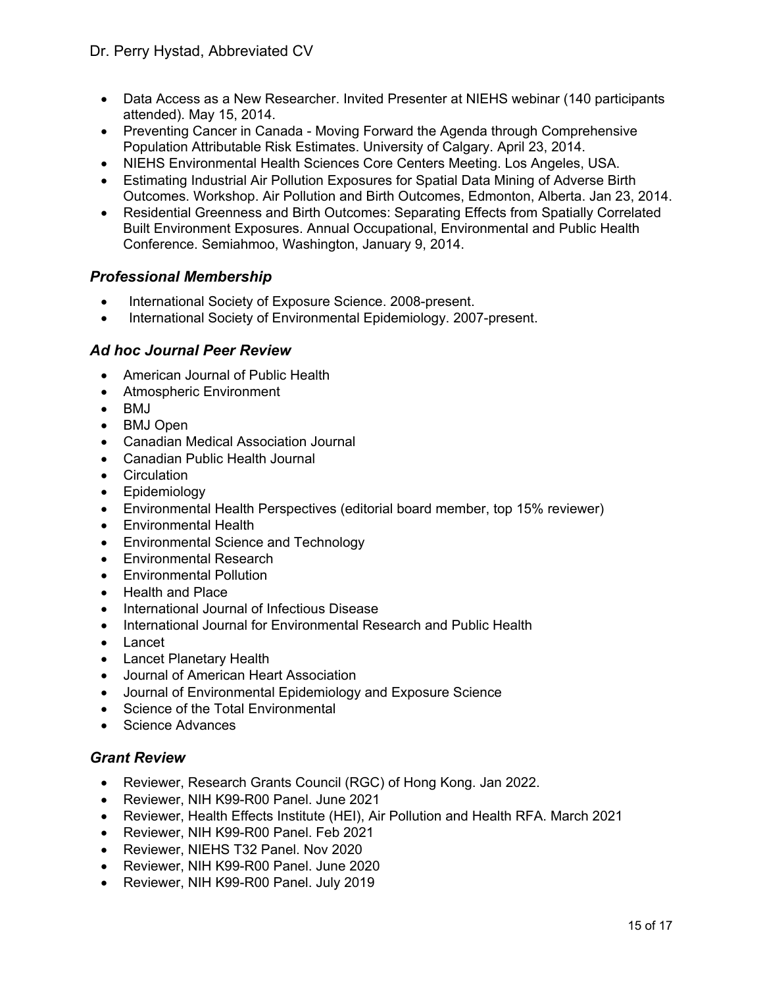- Data Access as a New Researcher. Invited Presenter at NIEHS webinar (140 participants attended). May 15, 2014.
- Preventing Cancer in Canada Moving Forward the Agenda through Comprehensive Population Attributable Risk Estimates. University of Calgary. April 23, 2014.
- NIEHS Environmental Health Sciences Core Centers Meeting. Los Angeles, USA.
- Estimating Industrial Air Pollution Exposures for Spatial Data Mining of Adverse Birth Outcomes. Workshop. Air Pollution and Birth Outcomes, Edmonton, Alberta. Jan 23, 2014.
- Residential Greenness and Birth Outcomes: Separating Effects from Spatially Correlated Built Environment Exposures. Annual Occupational, Environmental and Public Health Conference. Semiahmoo, Washington, January 9, 2014.

#### *Professional Membership*

- International Society of Exposure Science. 2008-present.
- International Society of Environmental Epidemiology. 2007-present.

#### *Ad hoc Journal Peer Review*

- American Journal of Public Health
- Atmospheric Environment
- $\bullet$  BMJ
- BMJ Open
- Canadian Medical Association Journal
- Canadian Public Health Journal
- Circulation
- Epidemiology
- Environmental Health Perspectives (editorial board member, top 15% reviewer)
- Environmental Health
- Environmental Science and Technology
- Environmental Research
- Environmental Pollution
- Health and Place
- International Journal of Infectious Disease
- International Journal for Environmental Research and Public Health
- Lancet
- Lancet Planetary Health
- Journal of American Heart Association
- Journal of Environmental Epidemiology and Exposure Science
- Science of the Total Environmental
- Science Advances

#### *Grant Review*

- Reviewer, Research Grants Council (RGC) of Hong Kong. Jan 2022.
- Reviewer, NIH K99-R00 Panel. June 2021
- Reviewer, Health Effects Institute (HEI), Air Pollution and Health RFA. March 2021
- Reviewer, NIH K99-R00 Panel. Feb 2021
- Reviewer, NIEHS T32 Panel. Nov 2020
- Reviewer, NIH K99-R00 Panel. June 2020
- Reviewer, NIH K99-R00 Panel. July 2019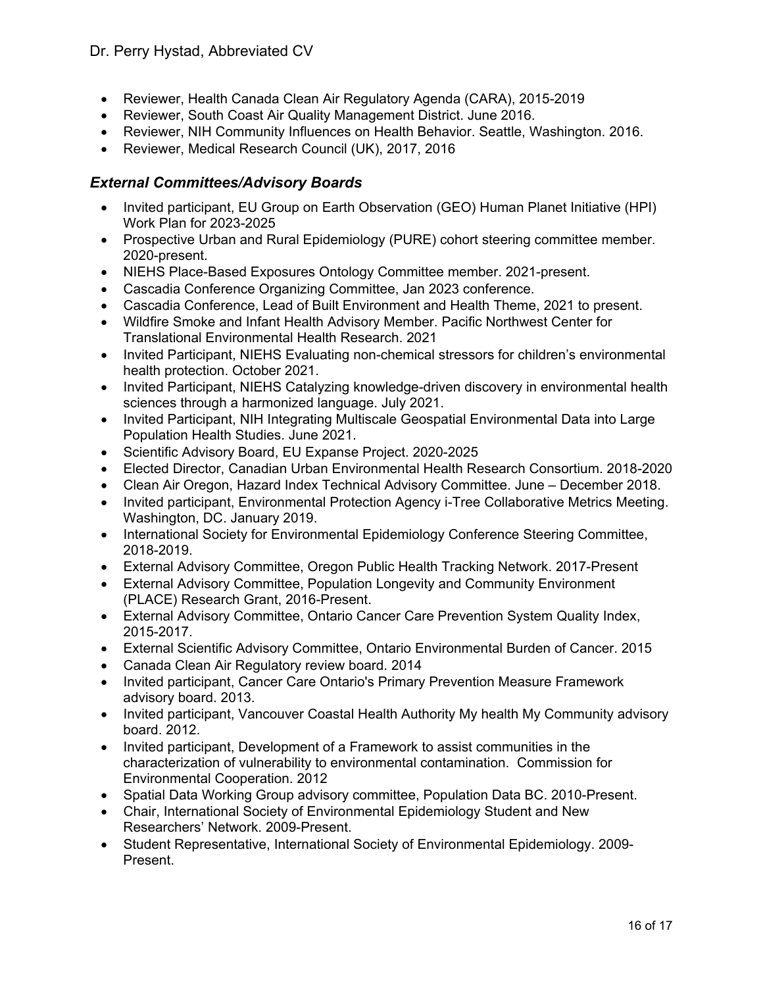- Reviewer, Health Canada Clean Air Regulatory Agenda (CARA), 2015-2019
- Reviewer, South Coast Air Quality Management District. June 2016.
- Reviewer, NIH Community Influences on Health Behavior. Seattle, Washington. 2016.
- Reviewer, Medical Research Council (UK), 2017, 2016

#### *External Committees/Advisory Boards*

- Invited participant, EU Group on Earth Observation (GEO) Human Planet Initiative (HPI) Work Plan for 2023-2025
- Prospective Urban and Rural Epidemiology (PURE) cohort steering committee member. 2020-present.
- NIEHS Place-Based Exposures Ontology Committee member. 2021-present.
- Cascadia Conference Organizing Committee, Jan 2023 conference.
- Cascadia Conference, Lead of Built Environment and Health Theme, 2021 to present.
- Wildfire Smoke and Infant Health Advisory Member. Pacific Northwest Center for Translational Environmental Health Research. 2021
- Invited Participant, NIEHS Evaluating non-chemical stressors for children's environmental health protection. October 2021.
- Invited Participant, NIEHS Catalyzing knowledge-driven discovery in environmental health sciences through a harmonized language. July 2021.
- Invited Participant, NIH Integrating Multiscale Geospatial Environmental Data into Large Population Health Studies. June 2021.
- Scientific Advisory Board, EU Expanse Project. 2020-2025
- Elected Director, Canadian Urban Environmental Health Research Consortium. 2018-2020
- Clean Air Oregon, Hazard Index Technical Advisory Committee. June December 2018.
- Invited participant, Environmental Protection Agency i-Tree Collaborative Metrics Meeting. Washington, DC. January 2019.
- International Society for Environmental Epidemiology Conference Steering Committee, 2018-2019.
- External Advisory Committee, Oregon Public Health Tracking Network. 2017-Present
- External Advisory Committee, Population Longevity and Community Environment (PLACE) Research Grant, 2016-Present.
- External Advisory Committee, Ontario Cancer Care Prevention System Quality Index, 2015-2017.
- External Scientific Advisory Committee, Ontario Environmental Burden of Cancer. 2015
- Canada Clean Air Regulatory review board. 2014
- Invited participant, Cancer Care Ontario's Primary Prevention Measure Framework advisory board. 2013.
- Invited participant, Vancouver Coastal Health Authority My health My Community advisory board. 2012.
- Invited participant, Development of a Framework to assist communities in the characterization of vulnerability to environmental contamination. Commission for Environmental Cooperation. 2012
- Spatial Data Working Group advisory committee, Population Data BC. 2010-Present.
- Chair, International Society of Environmental Epidemiology Student and New Researchers' Network. 2009-Present.
- Student Representative, International Society of Environmental Epidemiology. 2009- Present.